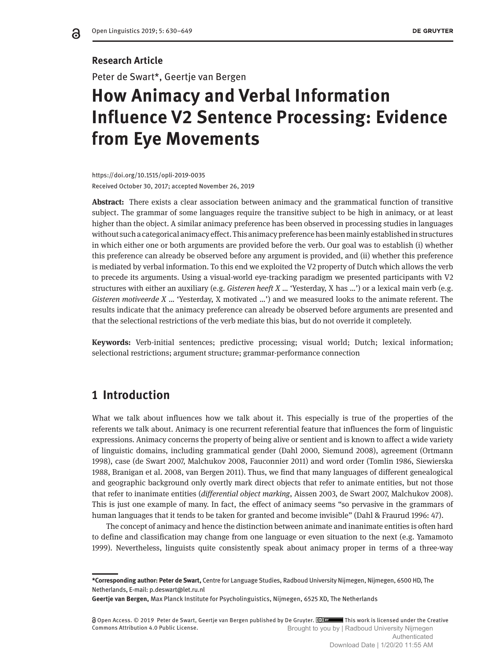## **Research Article**

Peter de Swart\*, Geertje van Bergen

# **How Animacy and Verbal Information Influence V2 Sentence Processing: Evidence from Eye Movements**

https://doi.org/10.1515/opli-2019-0035 Received October 30, 2017; accepted November 26, 2019

**Abstract:** There exists a clear association between animacy and the grammatical function of transitive subject. The grammar of some languages require the transitive subject to be high in animacy, or at least higher than the object. A similar animacy preference has been observed in processing studies in languages without such a categorical animacy effect. This animacy preference has been mainly established in structures in which either one or both arguments are provided before the verb. Our goal was to establish (i) whether this preference can already be observed before any argument is provided, and (ii) whether this preference is mediated by verbal information. To this end we exploited the V2 property of Dutch which allows the verb to precede its arguments. Using a visual-world eye-tracking paradigm we presented participants with V2 structures with either an auxiliary (e.g. *Gisteren heeft X* … 'Yesterday, X has …') or a lexical main verb (e.g. *Gisteren motiveerde X* … 'Yesterday, X motivated …') and we measured looks to the animate referent. The results indicate that the animacy preference can already be observed before arguments are presented and that the selectional restrictions of the verb mediate this bias, but do not override it completely.

**Keywords:** Verb-initial sentences; predictive processing; visual world; Dutch; lexical information; selectional restrictions; argument structure; grammar-performance connection

# **1 Introduction**

What we talk about influences how we talk about it. This especially is true of the properties of the referents we talk about. Animacy is one recurrent referential feature that influences the form of linguistic expressions. Animacy concerns the property of being alive or sentient and is known to affect a wide variety of linguistic domains, including grammatical gender (Dahl 2000, Siemund 2008), agreement (Ortmann 1998), case (de Swart 2007, Malchukov 2008, Fauconnier 2011) and word order (Tomlin 1986, Siewierska 1988, Branigan et al. 2008, van Bergen 2011). Thus, we find that many languages of different genealogical and geographic background only overtly mark direct objects that refer to animate entities, but not those that refer to inanimate entities (*differential object marking*, Aissen 2003, de Swart 2007, Malchukov 2008). This is just one example of many. In fact, the effect of animacy seems "so pervasive in the grammars of human languages that it tends to be taken for granted and become invisible" (Dahl & Fraurud 1996: 47).

The concept of animacy and hence the distinction between animate and inanimate entities is often hard to define and classification may change from one language or even situation to the next (e.g. Yamamoto 1999). Nevertheless, linguists quite consistently speak about animacy proper in terms of a three-way

**<sup>\*</sup>Corresponding author: Peter de Swart,** Centre for Language Studies, Radboud University Nijmegen, Nijmegen, 6500 HD, The Netherlands, E-mail: p.deswart@let.ru.nl

**Geertje van Bergen,** Max Planck Institute for Psycholinguistics, Nijmegen, 6525 XD, The Netherlands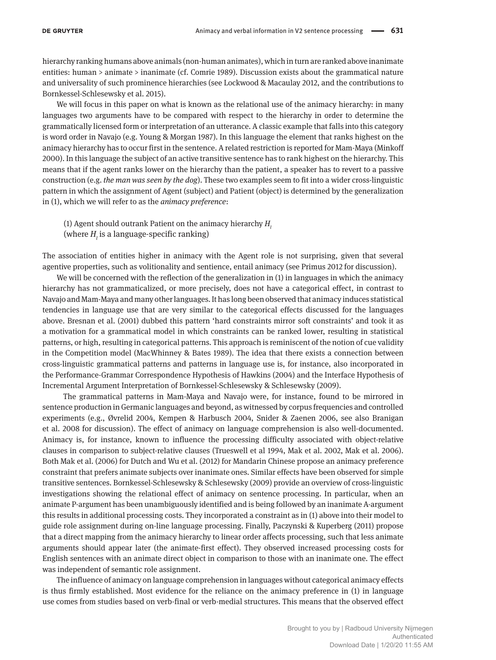hierarchy ranking humans above animals (non-human animates), which in turn are ranked above inanimate entities: human > animate > inanimate (cf. Comrie 1989). Discussion exists about the grammatical nature and universality of such prominence hierarchies (see Lockwood & Macaulay 2012, and the contributions to Bornkessel-Schlesewsky et al. 2015).

We will focus in this paper on what is known as the relational use of the animacy hierarchy: in many languages two arguments have to be compared with respect to the hierarchy in order to determine the grammatically licensed form or interpretation of an utterance. A classic example that falls into this category is word order in Navajo (e.g. Young & Morgan 1987). In this language the element that ranks highest on the animacy hierarchy has to occur first in the sentence. A related restriction is reported for Mam-Maya (Minkoff 2000). In this language the subject of an active transitive sentence has to rank highest on the hierarchy. This means that if the agent ranks lower on the hierarchy than the patient, a speaker has to revert to a passive construction (e.g. *the man was seen by the dog*). These two examples seem to fit into a wider cross-linguistic pattern in which the assignment of Agent (subject) and Patient (object) is determined by the generalization in (1), which we will refer to as the *animacy preference*:

(1) Agent should outrank Patient on the animacy hierarchy *Hl* (where  $H_{\tilde{l}}$  is a language-specific ranking)

The association of entities higher in animacy with the Agent role is not surprising, given that several agentive properties, such as volitionality and sentience, entail animacy (see Primus 2012 for discussion).

We will be concerned with the reflection of the generalization in (1) in languages in which the animacy hierarchy has not grammaticalized, or more precisely, does not have a categorical effect, in contrast to Navajo and Mam-Maya and many other languages. It has long been observed that animacy induces statistical tendencies in language use that are very similar to the categorical effects discussed for the languages above. Bresnan et al. (2001) dubbed this pattern 'hard constraints mirror soft constraints' and took it as a motivation for a grammatical model in which constraints can be ranked lower, resulting in statistical patterns, or high, resulting in categorical patterns. This approach is reminiscent of the notion of cue validity in the Competition model (MacWhinney & Bates 1989). The idea that there exists a connection between cross-linguistic grammatical patterns and patterns in language use is, for instance, also incorporated in the Performance-Grammar Correspondence Hypothesis of Hawkins (2004) and the Interface Hypothesis of Incremental Argument Interpretation of Bornkessel-Schlesewsky & Schlesewsky (2009).

The grammatical patterns in Mam-Maya and Navajo were, for instance, found to be mirrored in sentence production in Germanic languages and beyond, as witnessed by corpus frequencies and controlled experiments (e.g., Øvrelid 2004, Kempen & Harbusch 2004, Snider & Zaenen 2006, see also Branigan et al. 2008 for discussion). The effect of animacy on language comprehension is also well-documented. Animacy is, for instance, known to influence the processing difficulty associated with object-relative clauses in comparison to subject-relative clauses (Trueswell et al 1994, Mak et al. 2002, Mak et al. 2006). Both Mak et al. (2006) for Dutch and Wu et al. (2012) for Mandarin Chinese propose an animacy preference constraint that prefers animate subjects over inanimate ones. Similar effects have been observed for simple transitive sentences. Bornkessel-Schlesewsky & Schlesewsky (2009) provide an overview of cross-linguistic investigations showing the relational effect of animacy on sentence processing. In particular, when an animate P-argument has been unambiguously identified and is being followed by an inanimate A-argument this results in additional processing costs. They incorporated a constraint as in (1) above into their model to guide role assignment during on-line language processing. Finally, Paczynski & Kuperberg (2011) propose that a direct mapping from the animacy hierarchy to linear order affects processing, such that less animate arguments should appear later (the animate-first effect). They observed increased processing costs for English sentences with an animate direct object in comparison to those with an inanimate one. The effect was independent of semantic role assignment.

The influence of animacy on language comprehension in languages without categorical animacy effects is thus firmly established. Most evidence for the reliance on the animacy preference in (1) in language use comes from studies based on verb-final or verb-medial structures. This means that the observed effect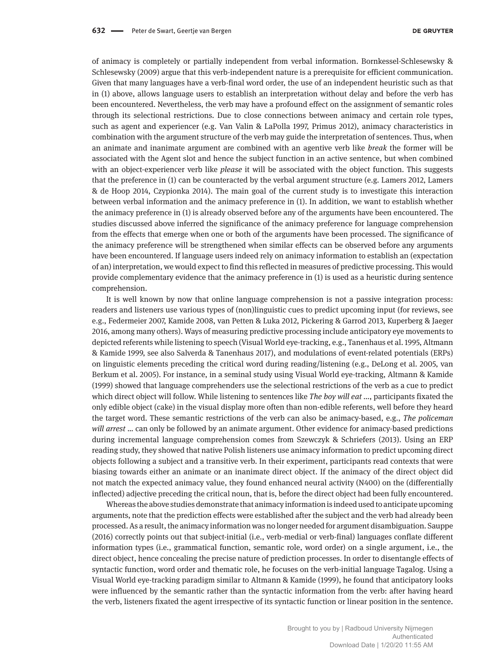of animacy is completely or partially independent from verbal information. Bornkessel-Schlesewsky & Schlesewsky (2009) argue that this verb-independent nature is a prerequisite for efficient communication. Given that many languages have a verb-final word order, the use of an independent heuristic such as that in (1) above, allows language users to establish an interpretation without delay and before the verb has been encountered. Nevertheless, the verb may have a profound effect on the assignment of semantic roles through its selectional restrictions. Due to close connections between animacy and certain role types, such as agent and experiencer (e.g. Van Valin & LaPolla 1997, Primus 2012), animacy characteristics in combination with the argument structure of the verb may guide the interpretation of sentences. Thus, when an animate and inanimate argument are combined with an agentive verb like *break* the former will be associated with the Agent slot and hence the subject function in an active sentence, but when combined with an object-experiencer verb like *please* it will be associated with the object function. This suggests that the preference in (1) can be counteracted by the verbal argument structure (e.g. Lamers 2012, Lamers & de Hoop 2014, Czypionka 2014). The main goal of the current study is to investigate this interaction between verbal information and the animacy preference in (1). In addition, we want to establish whether the animacy preference in (1) is already observed before any of the arguments have been encountered. The studies discussed above inferred the significance of the animacy preference for language comprehension from the effects that emerge when one or both of the arguments have been processed. The significance of the animacy preference will be strengthened when similar effects can be observed before any arguments have been encountered. If language users indeed rely on animacy information to establish an (expectation of an) interpretation, we would expect to find this reflected in measures of predictive processing. This would provide complementary evidence that the animacy preference in (1) is used as a heuristic during sentence comprehension.

It is well known by now that online language comprehension is not a passive integration process: readers and listeners use various types of (non)linguistic cues to predict upcoming input (for reviews, see e.g., Federmeier 2007, Kamide 2008, van Petten & Luka 2012, Pickering & Garrod 2013, Kuperberg & Jaeger 2016, among many others). Ways of measuring predictive processing include anticipatory eye movements to depicted referents while listening to speech (Visual World eye-tracking, e.g., Tanenhaus et al. 1995, Altmann & Kamide 1999, see also Salverda & Tanenhaus 2017), and modulations of event-related potentials (ERPs) on linguistic elements preceding the critical word during reading/listening (e.g., DeLong et al. 2005, van Berkum et al. 2005). For instance, in a seminal study using Visual World eye-tracking, Altmann & Kamide (1999) showed that language comprehenders use the selectional restrictions of the verb as a cue to predict which direct object will follow. While listening to sentences like *The boy will eat ...*, participants fixated the only edible object (cake) in the visual display more often than non-edible referents, well before they heard the target word. These semantic restrictions of the verb can also be animacy-based, e.g., *The policeman will arrest* … can only be followed by an animate argument. Other evidence for animacy-based predictions during incremental language comprehension comes from Szewczyk & Schriefers (2013). Using an ERP reading study, they showed that native Polish listeners use animacy information to predict upcoming direct objects following a subject and a transitive verb. In their experiment, participants read contexts that were biasing towards either an animate or an inanimate direct object. If the animacy of the direct object did not match the expected animacy value, they found enhanced neural activity (N400) on the (differentially inflected) adjective preceding the critical noun, that is, before the direct object had been fully encountered.

Whereas the above studies demonstrate that animacy information is indeed used to anticipate upcoming arguments, note that the prediction effects were established after the subject and the verb had already been processed. As a result, the animacy information was no longer needed for argument disambiguation. Sauppe (2016) correctly points out that subject-initial (i.e., verb-medial or verb-final) languages conflate different information types (i.e., grammatical function, semantic role, word order) on a single argument, i.e., the direct object, hence concealing the precise nature of prediction processes. In order to disentangle effects of syntactic function, word order and thematic role, he focuses on the verb-initial language Tagalog. Using a Visual World eye-tracking paradigm similar to Altmann & Kamide (1999), he found that anticipatory looks were influenced by the semantic rather than the syntactic information from the verb: after having heard the verb, listeners fixated the agent irrespective of its syntactic function or linear position in the sentence.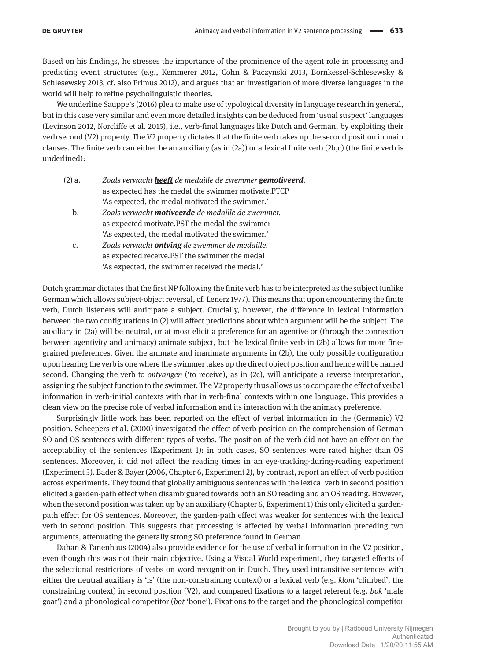Based on his findings, he stresses the importance of the prominence of the agent role in processing and predicting event structures (e.g., Kemmerer 2012, Cohn & Paczynski 2013, Bornkessel-Schlesewsky & Schlesewsky 2013, cf. also Primus 2012), and argues that an investigation of more diverse languages in the world will help to refine psycholinguistic theories.

We underline Sauppe's (2016) plea to make use of typological diversity in language research in general, but in this case very similar and even more detailed insights can be deduced from 'usual suspect' languages (Levinson 2012, Norcliffe et al. 2015), i.e., verb-final languages like Dutch and German, by exploiting their verb second (V2) property. The V2 property dictates that the finite verb takes up the second position in main clauses. The finite verb can either be an auxiliary (as in (2a)) or a lexical finite verb (2b,c) (the finite verb is underlined):

| (2) a. | Zoals verwacht <b>heeft</b> de medaille de zwemmer <b>gemotiveerd</b> . |
|--------|-------------------------------------------------------------------------|
|        | as expected has the medal the swimmer motivate.PTCP                     |
|        | 'As expected, the medal motivated the swimmer.'                         |

- b. *Zoals verwacht motiveerde de medaille de zwemmer.* as expected motivate.PST the medal the swimmer 'As expected, the medal motivated the swimmer.'
- c. *Zoals verwacht ontving de zwemmer de medaille.* as expected receive.PST the swimmer the medal 'As expected, the swimmer received the medal.'

Dutch grammar dictates that the first NP following the finite verb has to be interpreted as the subject (unlike German which allows subject-object reversal, cf. Lenerz 1977). This means that upon encountering the finite verb, Dutch listeners will anticipate a subject. Crucially, however, the difference in lexical information between the two configurations in (2) will affect predictions about which argument will be the subject. The auxiliary in (2a) will be neutral, or at most elicit a preference for an agentive or (through the connection between agentivity and animacy) animate subject, but the lexical finite verb in (2b) allows for more finegrained preferences. Given the animate and inanimate arguments in (2b), the only possible configuration upon hearing the verb is one where the swimmer takes up the direct object position and hence will be named second. Changing the verb to *ontvangen* ('to receive), as in (2c), will anticipate a reverse interpretation, assigning the subject function to the swimmer. The V2 property thus allows us to compare the effect of verbal information in verb-initial contexts with that in verb-final contexts within one language. This provides a clean view on the precise role of verbal information and its interaction with the animacy preference.

Surprisingly little work has been reported on the effect of verbal information in the (Germanic) V2 position. Scheepers et al. (2000) investigated the effect of verb position on the comprehension of German SO and OS sentences with different types of verbs. The position of the verb did not have an effect on the acceptability of the sentences (Experiment 1): in both cases, SO sentences were rated higher than OS sentences. Moreover, it did not affect the reading times in an eye-tracking-during-reading experiment (Experiment 3). Bader & Bayer (2006, Chapter 6, Experiment 2), by contrast, report an effect of verb position across experiments. They found that globally ambiguous sentences with the lexical verb in second position elicited a garden-path effect when disambiguated towards both an SO reading and an OS reading. However, when the second position was taken up by an auxiliary (Chapter 6, Experiment 1) this only elicited a gardenpath effect for OS sentences. Moreover, the garden-path effect was weaker for sentences with the lexical verb in second position. This suggests that processing is affected by verbal information preceding two arguments, attenuating the generally strong SO preference found in German.

Dahan & Tanenhaus (2004) also provide evidence for the use of verbal information in the V2 position, even though this was not their main objective. Using a Visual World experiment, they targeted effects of the selectional restrictions of verbs on word recognition in Dutch. They used intransitive sentences with either the neutral auxiliary *is* 'is' (the non-constraining context) or a lexical verb (e.g. *klom* 'climbed', the constraining context) in second position (V2), and compared fixations to a target referent (e.g. *bok* 'male goat') and a phonological competitor (*bot* 'bone'). Fixations to the target and the phonological competitor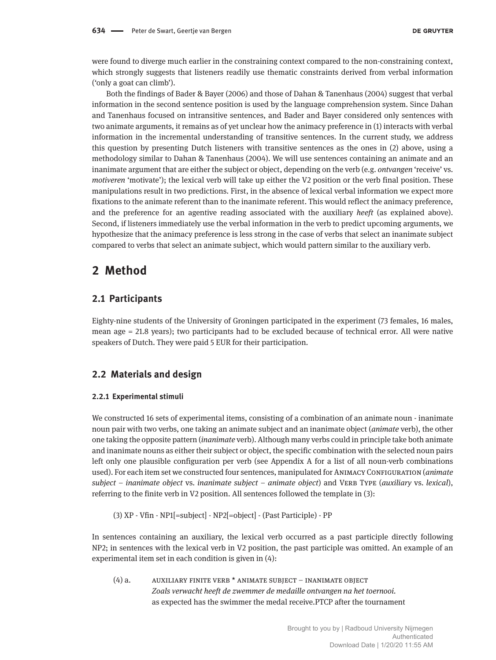were found to diverge much earlier in the constraining context compared to the non-constraining context, which strongly suggests that listeners readily use thematic constraints derived from verbal information ('only a goat can climb').

Both the findings of Bader & Bayer (2006) and those of Dahan & Tanenhaus (2004) suggest that verbal information in the second sentence position is used by the language comprehension system. Since Dahan and Tanenhaus focused on intransitive sentences, and Bader and Bayer considered only sentences with two animate arguments, it remains as of yet unclear how the animacy preference in (1) interacts with verbal information in the incremental understanding of transitive sentences. In the current study, we address this question by presenting Dutch listeners with transitive sentences as the ones in (2) above, using a methodology similar to Dahan & Tanenhaus (2004). We will use sentences containing an animate and an inanimate argument that are either the subject or object, depending on the verb (e.g. *ontvangen* 'receive' vs. *motiveren* 'motivate'); the lexical verb will take up either the V2 position or the verb final position. These manipulations result in two predictions. First, in the absence of lexical verbal information we expect more fixations to the animate referent than to the inanimate referent. This would reflect the animacy preference, and the preference for an agentive reading associated with the auxiliary *heeft* (as explained above). Second, if listeners immediately use the verbal information in the verb to predict upcoming arguments, we hypothesize that the animacy preference is less strong in the case of verbs that select an inanimate subject compared to verbs that select an animate subject, which would pattern similar to the auxiliary verb.

# **2 Method**

### **2.1 Participants**

Eighty-nine students of the University of Groningen participated in the experiment (73 females, 16 males, mean age = 21.8 years); two participants had to be excluded because of technical error. All were native speakers of Dutch. They were paid 5 EUR for their participation.

### **2.2 Materials and design**

#### **2.2.1 Experimental stimuli**

We constructed 16 sets of experimental items, consisting of a combination of an animate noun - inanimate noun pair with two verbs, one taking an animate subject and an inanimate object (*animate* verb), the other one taking the opposite pattern (*inanimate* verb). Although many verbs could in principle take both animate and inanimate nouns as either their subject or object, the specific combination with the selected noun pairs left only one plausible configuration per verb (see Appendix A for a list of all noun-verb combinations used). For each item set we constructed four sentences, manipulated for Animacy Configuration (*animate subject – inanimate object* vs. *inanimate subject – animate object*) and VERB TYPE (*auxiliary* vs. *lexical*), referring to the finite verb in V2 position. All sentences followed the template in (3):

(3) XP - Vfin - NP1[=subject] - NP2[=object] - (Past Participle) - PP

In sentences containing an auxiliary, the lexical verb occurred as a past participle directly following NP2; in sentences with the lexical verb in V2 position, the past participle was omitted. An example of an experimental item set in each condition is given in (4):

(4) a. AUXILIARY FINITE VERB \* ANIMATE SUBJECT – INANIMATE OBJECT  *Zoals verwacht heeft de zwemmer de medaille ontvangen na het toernooi.* as expected has the swimmer the medal receive.PTCP after the tournament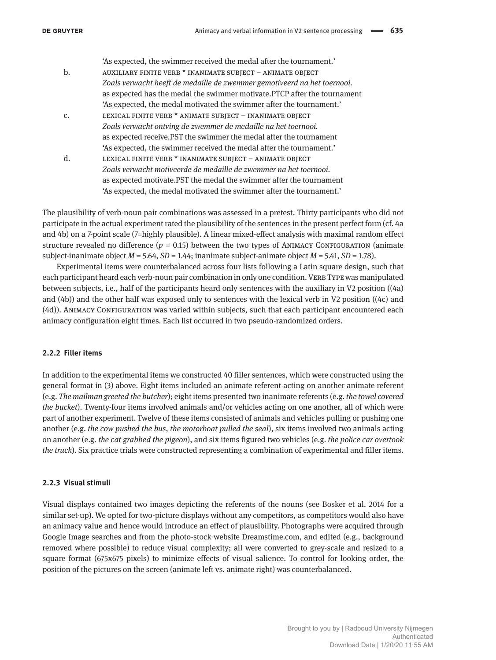'As expected, the swimmer received the medal after the tournament.' b. auxiliary finite verb \* inanimate subject – animate object  *Zoals verwacht heeft de medaille de zwemmer gemotiveerd na het toernooi.* as expected has the medal the swimmer motivate.PTCP after the tournament 'As expected, the medal motivated the swimmer after the tournament.' c. LEXICAL FINITE VERB  $*$  animate subject – inanimate object  *Zoals verwacht ontving de zwemmer de medaille na het toernooi.* as expected receive.PST the swimmer the medal after the tournament 'As expected, the swimmer received the medal after the tournament.' d. lexical finite verb \* inanimate subject – animate object  *Zoals verwacht motiveerde de medaille de zwemmer na het toernooi.* as expected motivate.PST the medal the swimmer after the tournament 'As expected, the medal motivated the swimmer after the tournament.'

The plausibility of verb-noun pair combinations was assessed in a pretest. Thirty participants who did not participate in the actual experiment rated the plausibility of the sentences in the present perfect form (cf. 4a and 4b) on a 7-point scale (7=highly plausible). A linear mixed-effect analysis with maximal random effect structure revealed no difference  $(p = 0.15)$  between the two types of ANIMACY CONFIGURATION (animate subject-inanimate object  $M = 5.64$ ,  $SD = 1.44$ ; inanimate subject-animate object  $M = 5.41$ ,  $SD = 1.78$ ).

Experimental items were counterbalanced across four lists following a Latin square design, such that each participant heard each verb-noun pair combination in only one condition. VERB TYPE was manipulated between subjects, i.e., half of the participants heard only sentences with the auxiliary in V2 position ((4a) and (4b)) and the other half was exposed only to sentences with the lexical verb in V2 position ((4c) and (4d)). Animacy Configuration was varied within subjects, such that each participant encountered each animacy configuration eight times. Each list occurred in two pseudo-randomized orders.

#### **2.2.2 Filler items**

In addition to the experimental items we constructed 40 filler sentences, which were constructed using the general format in (3) above. Eight items included an animate referent acting on another animate referent (e.g. *The mailman greeted the butcher*); eight items presented two inanimate referents (e.g. *the towel covered the bucket*). Twenty-four items involved animals and/or vehicles acting on one another, all of which were part of another experiment. Twelve of these items consisted of animals and vehicles pulling or pushing one another (e.g. *the cow pushed the bus*, *the motorboat pulled the seal*), six items involved two animals acting on another (e.g. *the cat grabbed the pigeon*), and six items figured two vehicles (e.g. *the police car overtook the truck*). Six practice trials were constructed representing a combination of experimental and filler items.

#### **2.2.3 Visual stimuli**

Visual displays contained two images depicting the referents of the nouns (see Bosker et al. 2014 for a similar set-up). We opted for two-picture displays without any competitors, as competitors would also have an animacy value and hence would introduce an effect of plausibility. Photographs were acquired through Google Image searches and from the photo-stock website Dreamstime.com, and edited (e.g., background removed where possible) to reduce visual complexity; all were converted to grey-scale and resized to a square format (675x675 pixels) to minimize effects of visual salience. To control for looking order, the position of the pictures on the screen (animate left vs. animate right) was counterbalanced.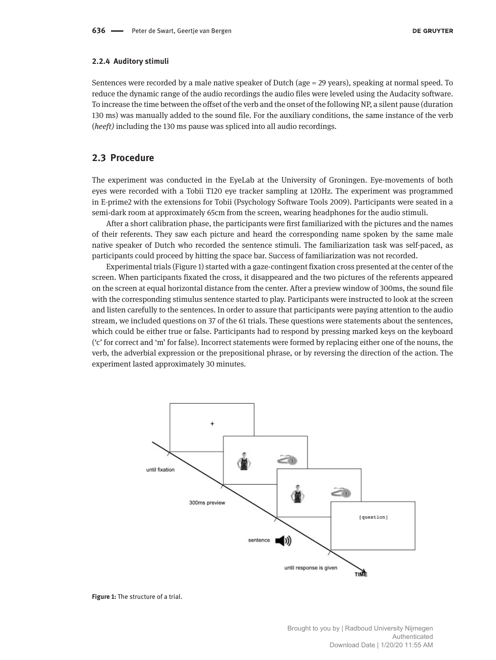#### **2.2.4 Auditory stimuli**

Sentences were recorded by a male native speaker of Dutch (age = 29 years), speaking at normal speed. To reduce the dynamic range of the audio recordings the audio files were leveled using the Audacity software. To increase the time between the offset of the verb and the onset of the following NP, a silent pause (duration 130 ms) was manually added to the sound file. For the auxiliary conditions, the same instance of the verb (*heeft)* including the 130 ms pause was spliced into all audio recordings.

### **2.3 Procedure**

The experiment was conducted in the EyeLab at the University of Groningen. Eye-movements of both eyes were recorded with a Tobii T120 eye tracker sampling at 120Hz. The experiment was programmed in E-prime2 with the extensions for Tobii (Psychology Software Tools 2009). Participants were seated in a semi-dark room at approximately 65cm from the screen, wearing headphones for the audio stimuli.

After a short calibration phase, the participants were first familiarized with the pictures and the names of their referents. They saw each picture and heard the corresponding name spoken by the same male native speaker of Dutch who recorded the sentence stimuli. The familiarization task was self-paced, as participants could proceed by hitting the space bar. Success of familiarization was not recorded.

Experimental trials (Figure 1) started with a gaze-contingent fixation cross presented at the center of the screen. When participants fixated the cross, it disappeared and the two pictures of the referents appeared on the screen at equal horizontal distance from the center. After a preview window of 300ms, the sound file with the corresponding stimulus sentence started to play. Participants were instructed to look at the screen and listen carefully to the sentences. In order to assure that participants were paying attention to the audio stream, we included questions on 37 of the 61 trials. These questions were statements about the sentences, which could be either true or false. Participants had to respond by pressing marked keys on the keyboard ('c' for correct and 'm' for false). Incorrect statements were formed by replacing either one of the nouns, the verb, the adverbial expression or the prepositional phrase, or by reversing the direction of the action. The experiment lasted approximately 30 minutes.



**Figure 1:** The structure of a trial.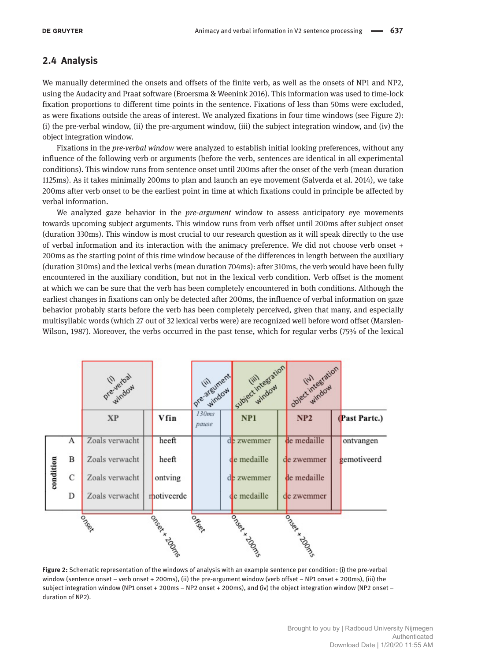## **2.4 Analysis**

We manually determined the onsets and offsets of the finite verb, as well as the onsets of NP1 and NP2, using the Audacity and Praat software (Broersma & Weenink 2016). This information was used to time-lock fixation proportions to different time points in the sentence. Fixations of less than 50ms were excluded, as were fixations outside the areas of interest. We analyzed fixations in four time windows (see Figure 2): (i) the pre-verbal window, (ii) the pre-argument window, (iii) the subject integration window, and (iv) the object integration window.

Fixations in the *pre-verbal window* were analyzed to establish initial looking preferences, without any influence of the following verb or arguments (before the verb, sentences are identical in all experimental conditions). This window runs from sentence onset until 200ms after the onset of the verb (mean duration 1125ms). As it takes minimally 200ms to plan and launch an eye movement (Salverda et al. 2014), we take 200ms after verb onset to be the earliest point in time at which fixations could in principle be affected by verbal information.

We analyzed gaze behavior in the *pre-argument* window to assess anticipatory eye movements towards upcoming subject arguments. This window runs from verb offset until 200ms after subject onset (duration 330ms). This window is most crucial to our research question as it will speak directly to the use of verbal information and its interaction with the animacy preference. We did not choose verb onset + 200ms as the starting point of this time window because of the differences in length between the auxiliary (duration 310ms) and the lexical verbs (mean duration 704ms): after 310ms, the verb would have been fully encountered in the auxiliary condition, but not in the lexical verb condition. Verb offset is the moment at which we can be sure that the verb has been completely encountered in both conditions. Although the earliest changes in fixations can only be detected after 200ms, the influence of verbal information on gaze behavior probably starts before the verb has been completely perceived, given that many, and especially multisyllabic words (which 27 out of 32 lexical verbs were) are recognized well before word offset (Marslen-Wilson, 1987). Moreover, the verbs occurred in the past tense, which for regular verbs (75% of the lexical

|           |               | pre-vierbay    |                | Pre-argument   | subject integration | object inhegration |               |
|-----------|---------------|----------------|----------------|----------------|---------------------|--------------------|---------------|
|           |               | <b>XP</b>      | Vfin           | 130ms<br>pause | NP1                 | NP2                | (Past Partc.) |
| condition | А             | Zoals verwacht | heeft          |                | de zwemmer          | de medaille        | ontvangen     |
|           | B             | Zoals verwacht | heeft          |                | de medaille         | de zwemmer         | gemotiveerd   |
|           | $\mathcal{C}$ | Zoals verwacht | ontving        |                | de zwemmer          | de medaille        |               |
|           | D             | Zoals verwacht | motiveerde     |                | de medaille         | de zwemmer         |               |
|           |               | Oocen          | Joseph A DOSOS | ocen           | Jockstrawn          | Joseph Adolfs      |               |
|           |               |                |                |                |                     |                    |               |

**Figure 2:** Schematic representation of the windows of analysis with an example sentence per condition: (i) the pre-verbal window (sentence onset – verb onset + 200ms), (ii) the pre-argument window (verb offset – NP1 onset + 200ms), (iii) the subject integration window (NP1 onset + 200ms – NP2 onset + 200ms), and (iv) the object integration window (NP2 onset – duration of NP2).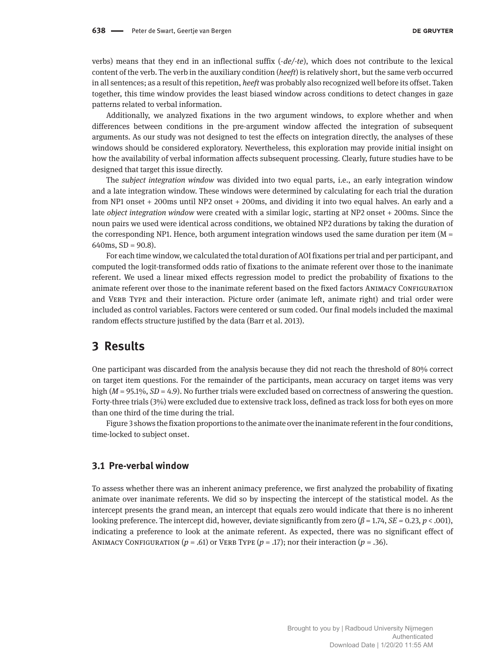verbs) means that they end in an inflectional suffix (*-de/-te*), which does not contribute to the lexical content of the verb. The verb in the auxiliary condition (*heeft*) is relatively short, but the same verb occurred in all sentences; as a result of this repetition, *heeft* was probably also recognized well before its offset. Taken together, this time window provides the least biased window across conditions to detect changes in gaze patterns related to verbal information.

Additionally, we analyzed fixations in the two argument windows, to explore whether and when differences between conditions in the pre-argument window affected the integration of subsequent arguments. As our study was not designed to test the effects on integration directly, the analyses of these windows should be considered exploratory. Nevertheless, this exploration may provide initial insight on how the availability of verbal information affects subsequent processing. Clearly, future studies have to be designed that target this issue directly.

The *subject integration window* was divided into two equal parts, i.e., an early integration window and a late integration window. These windows were determined by calculating for each trial the duration from NP1 onset + 200ms until NP2 onset + 200ms, and dividing it into two equal halves. An early and a late *object integration window* were created with a similar logic, starting at NP2 onset + 200ms. Since the noun pairs we used were identical across conditions, we obtained NP2 durations by taking the duration of the corresponding NP1. Hence, both argument integration windows used the same duration per item  $(M =$ 640ms,  $SD = 90.8$ ).

For each time window, we calculated the total duration of AOI fixations per trial and per participant, and computed the logit-transformed odds ratio of fixations to the animate referent over those to the inanimate referent. We used a linear mixed effects regression model to predict the probability of fixations to the animate referent over those to the inanimate referent based on the fixed factors Animacy Configuration and VERB TYPE and their interaction. Picture order (animate left, animate right) and trial order were included as control variables. Factors were centered or sum coded. Our final models included the maximal random effects structure justified by the data (Barr et al. 2013).

# **3 Results**

One participant was discarded from the analysis because they did not reach the threshold of 80% correct on target item questions. For the remainder of the participants, mean accuracy on target items was very high (*M* = 95.1%, *SD* = 4.9). No further trials were excluded based on correctness of answering the question. Forty-three trials (3%) were excluded due to extensive track loss, defined as track loss for both eyes on more than one third of the time during the trial.

Figure 3 shows the fixation proportions to the animate over the inanimate referent in the four conditions, time-locked to subject onset.

#### **3.1 Pre-verbal window**

To assess whether there was an inherent animacy preference, we first analyzed the probability of fixating animate over inanimate referents. We did so by inspecting the intercept of the statistical model. As the intercept presents the grand mean, an intercept that equals zero would indicate that there is no inherent looking preference. The intercept did, however, deviate significantly from zero (*β* = 1.74, *SE =* 0.23, *p* < .001), indicating a preference to look at the animate referent. As expected, there was no significant effect of ANIMACY CONFIGURATION  $(p = .61)$  or VERB TYPE  $(p = .17)$ ; nor their interaction  $(p = .36)$ .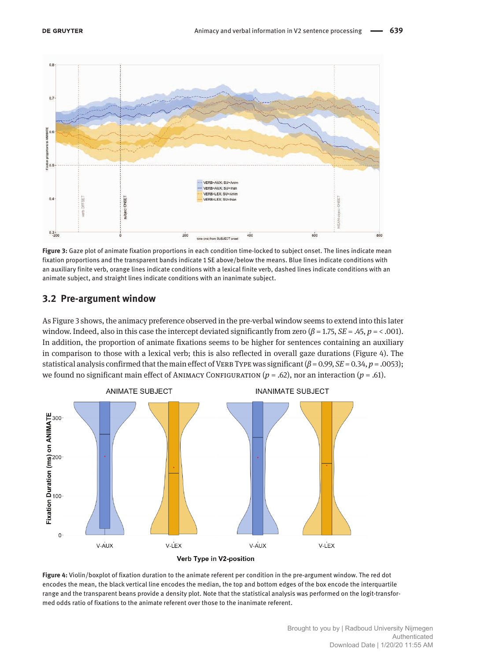

**Figure 3:** Gaze plot of animate fixation proportions in each condition time-locked to subject onset. The lines indicate mean fixation proportions and the transparent bands indicate 1 SE above/below the means. Blue lines indicate conditions with an auxiliary finite verb, orange lines indicate conditions with a lexical finite verb, dashed lines indicate conditions with an animate subject, and straight lines indicate conditions with an inanimate subject.

### **3.2 Pre-argument window**

As Figure 3 shows, the animacy preference observed in the pre-verbal window seems to extend into this later window. Indeed, also in this case the intercept deviated significantly from zero ( $\beta$  = 1.75, *SE* = .45,  $p$  = < .001). In addition, the proportion of animate fixations seems to be higher for sentences containing an auxiliary in comparison to those with a lexical verb; this is also reflected in overall gaze durations (Figure 4). The statistical analysis confirmed that the main effect of VERB TYPE was significant ( $β = 0.99$ ,  $SE = 0.34$ ,  $p = .0053$ ); we found no significant main effect of ANIMACY CONFIGURATION  $(p = .62)$ , nor an interaction  $(p = .61)$ .



**Figure 4:** Violin/boxplot of fixation duration to the animate referent per condition in the pre-argument window. The red dot encodes the mean, the black vertical line encodes the median, the top and bottom edges of the box encode the interquartile range and the transparent beans provide a density plot. Note that the statistical analysis was performed on the logit-transformed odds ratio of fixations to the animate referent over those to the inanimate referent.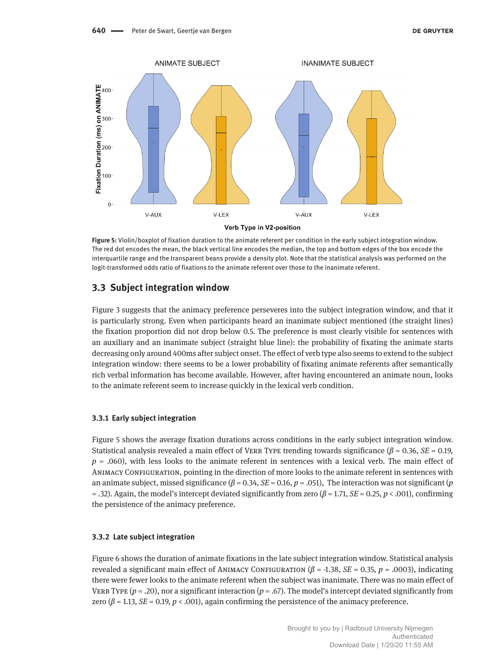

**Figure 5:** Violin/boxplot of fixation duration to the animate referent per condition in the early subject integration window. The red dot encodes the mean, the black vertical line encodes the median, the top and bottom edges of the box encode the interquartile range and the transparent beans provide a density plot. Note that the statistical analysis was performed on the logit-transformed odds ratio of fixations to the animate referent over those to the inanimate referent.

### **3.3 Subject integration window**

Figure 3 suggests that the animacy preference perseveres into the subject integration window, and that it is particularly strong. Even when participants heard an inanimate subject mentioned (the straight lines) the fixation proportion did not drop below 0.5. The preference is most clearly visible for sentences with an auxiliary and an inanimate subject (straight blue line): the probability of fixating the animate starts decreasing only around 400ms after subject onset. The effect of verb type also seems to extend to the subject integration window: there seems to be a lower probability of fixating animate referents after semantically rich verbal information has become available. However, after having encountered an animate noun, looks to the animate referent seem to increase quickly in the lexical verb condition.

#### **3.3.1 Early subject integration**

Figure 5 shows the average fixation durations across conditions in the early subject integration window. Statistical analysis revealed a main effect of Verb Type trending towards significance (*β* = 0.36, *SE* = 0.19, *p* = .060), with less looks to the animate referent in sentences with a lexical verb. The main effect of ANIMACY CONFIGURATION, pointing in the direction of more looks to the animate referent in sentences with an animate subject, missed significance  $(\beta = 0.34, SE = 0.16, p = .051)$ , The interaction was not significant (*p* = .32). Again, the model's intercept deviated significantly from zero (*β* = 1.71, *SE* = 0.25, *p* < .001), confirming the persistence of the animacy preference.

#### **3.3.2 Late subject integration**

Figure 6 shows the duration of animate fixations in the late subject integration window. Statistical analysis revealed a significant main effect of ANIMACY CONFIGURATION ( $β$  = -1.38, *SE* = 0.35, *p* = .0003), indicating there were fewer looks to the animate referent when the subject was inanimate. There was no main effect of VERB TYPE  $(p=.20)$ , nor a significant interaction  $(p=.67)$ . The model's intercept deviated significantly from zero ( $\beta$  = 1.13, *SE* = 0.19,  $p$  < .001), again confirming the persistence of the animacy preference.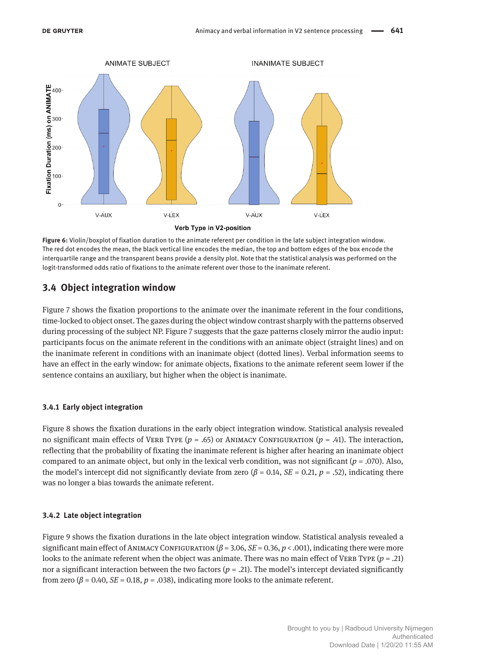

**Figure 6:** Violin/boxplot of fixation duration to the animate referent per condition in the late subject integration window. The red dot encodes the mean, the black vertical line encodes the median, the top and bottom edges of the box encode the interquartile range and the transparent beans provide a density plot. Note that the statistical analysis was performed on the logit-transformed odds ratio of fixations to the animate referent over those to the inanimate referent.

# **3.4 Object integration window**

Figure 7 shows the fixation proportions to the animate over the inanimate referent in the four conditions, time-locked to object onset. The gazes during the object window contrast sharply with the patterns observed during processing of the subject NP. Figure 7 suggests that the gaze patterns closely mirror the audio input: participants focus on the animate referent in the conditions with an animate object (straight lines) and on the inanimate referent in conditions with an inanimate object (dotted lines). Verbal information seems to have an effect in the early window: for animate objects, fixations to the animate referent seem lower if the sentence contains an auxiliary, but higher when the object is inanimate.

### **3.4.1 Early object integration**

Figure 8 shows the fixation durations in the early object integration window. Statistical analysis revealed no significant main effects of VERB TYPE ( $p = .65$ ) or ANIMACY CONFIGURATION ( $p = .41$ ). The interaction, reflecting that the probability of fixating the inanimate referent is higher after hearing an inanimate object compared to an animate object, but only in the lexical verb condition, was not significant (*p* = .070). Also, the model's intercept did not significantly deviate from zero  $(\beta = 0.14, SE = 0.21, p = .52)$ , indicating there was no longer a bias towards the animate referent.

### **3.4.2 Late object integration**

Figure 9 shows the fixation durations in the late object integration window. Statistical analysis revealed a significant main effect of Animacy Configuration (*β* = 3.06, *SE* = 0.36, *p* < .001), indicating there were more looks to the animate referent when the object was animate. There was no main effect of VERB Type  $(p = .21)$ nor a significant interaction between the two factors (*p* = .21). The model's intercept deviated significantly from zero  $(\beta = 0.40, \text{ } SE = 0.18, \text{ } p = .038)$ , indicating more looks to the animate referent.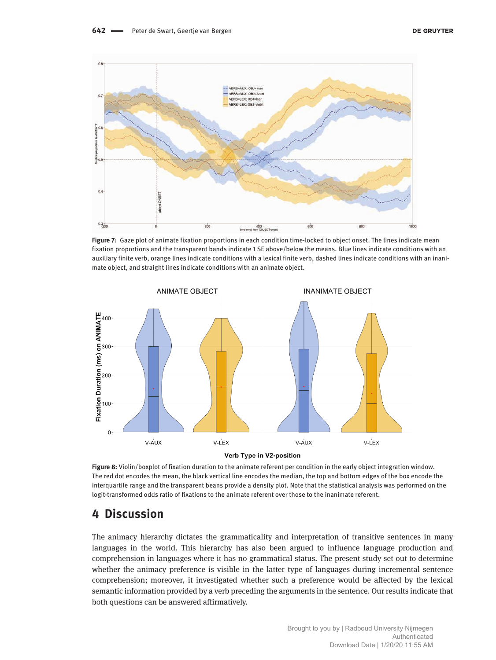

**Figure 7:** Gaze plot of animate fixation proportions in each condition time-locked to object onset. The lines indicate mean fixation proportions and the transparent bands indicate 1 SE above/below the means. Blue lines indicate conditions with an auxiliary finite verb, orange lines indicate conditions with a lexical finite verb, dashed lines indicate conditions with an inanimate object, and straight lines indicate conditions with an animate object.



**Figure 8:** Violin/boxplot of fixation duration to the animate referent per condition in the early object integration window. The red dot encodes the mean, the black vertical line encodes the median, the top and bottom edges of the box encode the interquartile range and the transparent beans provide a density plot. Note that the statistical analysis was performed on the logit-transformed odds ratio of fixations to the animate referent over those to the inanimate referent.

# **4 Discussion**

The animacy hierarchy dictates the grammaticality and interpretation of transitive sentences in many languages in the world. This hierarchy has also been argued to influence language production and comprehension in languages where it has no grammatical status. The present study set out to determine whether the animacy preference is visible in the latter type of languages during incremental sentence comprehension; moreover, it investigated whether such a preference would be affected by the lexical semantic information provided by a verb preceding the arguments in the sentence. Our results indicate that both questions can be answered affirmatively.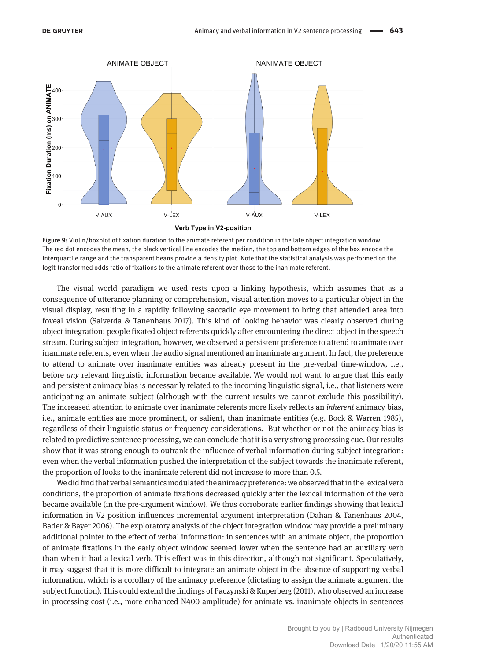

**Figure 9:** Violin/boxplot of fixation duration to the animate referent per condition in the late object integration window. The red dot encodes the mean, the black vertical line encodes the median, the top and bottom edges of the box encode the interquartile range and the transparent beans provide a density plot. Note that the statistical analysis was performed on the logit-transformed odds ratio of fixations to the animate referent over those to the inanimate referent.

The visual world paradigm we used rests upon a linking hypothesis, which assumes that as a consequence of utterance planning or comprehension, visual attention moves to a particular object in the visual display, resulting in a rapidly following saccadic eye movement to bring that attended area into foveal vision (Salverda & Tanenhaus 2017). This kind of looking behavior was clearly observed during object integration: people fixated object referents quickly after encountering the direct object in the speech stream. During subject integration, however, we observed a persistent preference to attend to animate over inanimate referents, even when the audio signal mentioned an inanimate argument. In fact, the preference to attend to animate over inanimate entities was already present in the pre-verbal time-window, i.e., before *any* relevant linguistic information became available. We would not want to argue that this early and persistent animacy bias is necessarily related to the incoming linguistic signal, i.e., that listeners were anticipating an animate subject (although with the current results we cannot exclude this possibility). The increased attention to animate over inanimate referents more likely reflects an *inherent* animacy bias, i.e., animate entities are more prominent, or salient, than inanimate entities (e.g. Bock & Warren 1985), regardless of their linguistic status or frequency considerations. But whether or not the animacy bias is related to predictive sentence processing, we can conclude that it is a very strong processing cue. Our results show that it was strong enough to outrank the influence of verbal information during subject integration: even when the verbal information pushed the interpretation of the subject towards the inanimate referent, the proportion of looks to the inanimate referent did not increase to more than 0.5.

We did find that verbal semantics modulated the animacy preference: we observed that in the lexical verb conditions, the proportion of animate fixations decreased quickly after the lexical information of the verb became available (in the pre-argument window). We thus corroborate earlier findings showing that lexical information in V2 position influences incremental argument interpretation (Dahan & Tanenhaus 2004, Bader & Bayer 2006). The exploratory analysis of the object integration window may provide a preliminary additional pointer to the effect of verbal information: in sentences with an animate object, the proportion of animate fixations in the early object window seemed lower when the sentence had an auxiliary verb than when it had a lexical verb. This effect was in this direction, although not significant. Speculatively, it may suggest that it is more difficult to integrate an animate object in the absence of supporting verbal information, which is a corollary of the animacy preference (dictating to assign the animate argument the subject function). This could extend the findings of Paczynski & Kuperberg (2011), who observed an increase in processing cost (i.e., more enhanced N400 amplitude) for animate vs. inanimate objects in sentences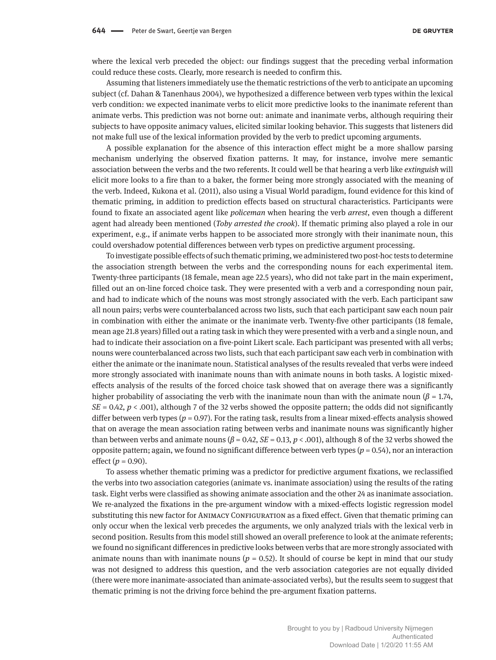where the lexical verb preceded the object: our findings suggest that the preceding verbal information could reduce these costs. Clearly, more research is needed to confirm this.

Assuming that listeners immediately use the thematic restrictions of the verb to anticipate an upcoming subject (cf. Dahan & Tanenhaus 2004), we hypothesized a difference between verb types within the lexical verb condition: we expected inanimate verbs to elicit more predictive looks to the inanimate referent than animate verbs. This prediction was not borne out: animate and inanimate verbs, although requiring their subjects to have opposite animacy values, elicited similar looking behavior. This suggests that listeners did not make full use of the lexical information provided by the verb to predict upcoming arguments.

A possible explanation for the absence of this interaction effect might be a more shallow parsing mechanism underlying the observed fixation patterns. It may, for instance, involve mere semantic association between the verbs and the two referents. It could well be that hearing a verb like *extinguish* will elicit more looks to a fire than to a baker, the former being more strongly associated with the meaning of the verb. Indeed, Kukona et al. (2011), also using a Visual World paradigm, found evidence for this kind of thematic priming, in addition to prediction effects based on structural characteristics. Participants were found to fixate an associated agent like *policeman* when hearing the verb *arrest*, even though a different agent had already been mentioned (*Toby arrested the crook*). If thematic priming also played a role in our experiment, e.g., if animate verbs happen to be associated more strongly with their inanimate noun, this could overshadow potential differences between verb types on predictive argument processing.

To investigate possible effects of such thematic priming, we administered two post-hoc tests to determine the association strength between the verbs and the corresponding nouns for each experimental item. Twenty-three participants (18 female, mean age 22.5 years), who did not take part in the main experiment, filled out an on-line forced choice task. They were presented with a verb and a corresponding noun pair, and had to indicate which of the nouns was most strongly associated with the verb. Each participant saw all noun pairs; verbs were counterbalanced across two lists, such that each participant saw each noun pair in combination with either the animate or the inanimate verb. Twenty-five other participants (18 female, mean age 21.8 years) filled out a rating task in which they were presented with a verb and a single noun, and had to indicate their association on a five-point Likert scale. Each participant was presented with all verbs; nouns were counterbalanced across two lists, such that each participant saw each verb in combination with either the animate or the inanimate noun. Statistical analyses of the results revealed that verbs were indeed more strongly associated with inanimate nouns than with animate nouns in both tasks. A logistic mixedeffects analysis of the results of the forced choice task showed that on average there was a significantly higher probability of associating the verb with the inanimate noun than with the animate noun (*β* = 1.74, *SE* = 0.42, *p* < .001), although 7 of the 32 verbs showed the opposite pattern; the odds did not significantly differ between verb types  $(p = 0.97)$ . For the rating task, results from a linear mixed-effects analysis showed that on average the mean association rating between verbs and inanimate nouns was significantly higher than between verbs and animate nouns ( $\beta$  = 0.42,  $SE$  = 0.13,  $p <$  .001), although 8 of the 32 verbs showed the opposite pattern; again, we found no significant difference between verb types (*p* = 0.54), nor an interaction effect  $(p = 0.90)$ .

To assess whether thematic priming was a predictor for predictive argument fixations, we reclassified the verbs into two association categories (animate vs. inanimate association) using the results of the rating task. Eight verbs were classified as showing animate association and the other 24 as inanimate association. We re-analyzed the fixations in the pre-argument window with a mixed-effects logistic regression model substituting this new factor for ANIMACY CONFIGURATION as a fixed effect. Given that thematic priming can only occur when the lexical verb precedes the arguments, we only analyzed trials with the lexical verb in second position. Results from this model still showed an overall preference to look at the animate referents; we found no significant differences in predictive looks between verbs that are more strongly associated with animate nouns than with inanimate nouns ( $p = 0.52$ ). It should of course be kept in mind that our study was not designed to address this question, and the verb association categories are not equally divided (there were more inanimate-associated than animate-associated verbs), but the results seem to suggest that thematic priming is not the driving force behind the pre-argument fixation patterns.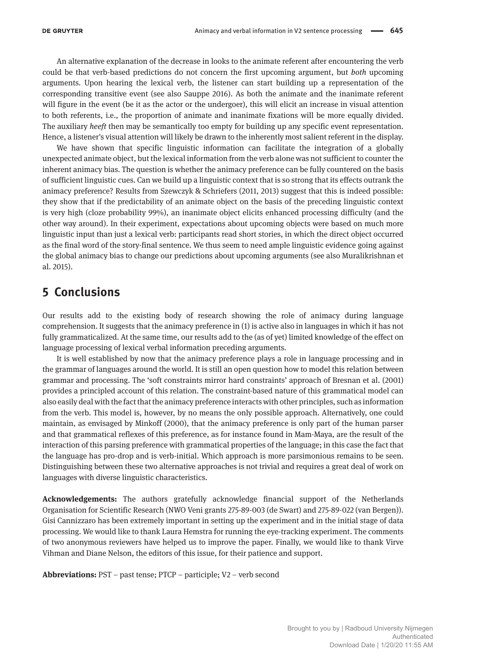An alternative explanation of the decrease in looks to the animate referent after encountering the verb could be that verb-based predictions do not concern the first upcoming argument, but *both* upcoming arguments. Upon hearing the lexical verb, the listener can start building up a representation of the corresponding transitive event (see also Sauppe 2016). As both the animate and the inanimate referent will figure in the event (be it as the actor or the undergoer), this will elicit an increase in visual attention to both referents, i.e., the proportion of animate and inanimate fixations will be more equally divided. The auxiliary *heeft* then may be semantically too empty for building up any specific event representation. Hence, a listener's visual attention will likely be drawn to the inherently most salient referent in the display.

We have shown that specific linguistic information can facilitate the integration of a globally unexpected animate object, but the lexical information from the verb alone was not sufficient to counter the inherent animacy bias. The question is whether the animacy preference can be fully countered on the basis of sufficient linguistic cues. Can we build up a linguistic context that is so strong that its effects outrank the animacy preference? Results from Szewczyk & Schriefers (2011, 2013) suggest that this is indeed possible: they show that if the predictability of an animate object on the basis of the preceding linguistic context is very high (cloze probability 99%), an inanimate object elicits enhanced processing difficulty (and the other way around). In their experiment, expectations about upcoming objects were based on much more linguistic input than just a lexical verb: participants read short stories, in which the direct object occurred as the final word of the story-final sentence. We thus seem to need ample linguistic evidence going against the global animacy bias to change our predictions about upcoming arguments (see also Muralikrishnan et al. 2015).

# **5 Conclusions**

Our results add to the existing body of research showing the role of animacy during language comprehension. It suggests that the animacy preference in (1) is active also in languages in which it has not fully grammaticalized. At the same time, our results add to the (as of yet) limited knowledge of the effect on language processing of lexical verbal information preceding arguments.

It is well established by now that the animacy preference plays a role in language processing and in the grammar of languages around the world. It is still an open question how to model this relation between grammar and processing. The 'soft constraints mirror hard constraints' approach of Bresnan et al. (2001) provides a principled account of this relation. The constraint-based nature of this grammatical model can also easily deal with the fact that the animacy preference interacts with other principles, such as information from the verb. This model is, however, by no means the only possible approach. Alternatively, one could maintain, as envisaged by Minkoff (2000), that the animacy preference is only part of the human parser and that grammatical reflexes of this preference, as for instance found in Mam-Maya, are the result of the interaction of this parsing preference with grammatical properties of the language; in this case the fact that the language has pro-drop and is verb-initial. Which approach is more parsimonious remains to be seen. Distinguishing between these two alternative approaches is not trivial and requires a great deal of work on languages with diverse linguistic characteristics.

**Acknowledgements:** The authors gratefully acknowledge financial support of the Netherlands Organisation for Scientific Research (NWO Veni grants 275-89-003 (de Swart) and 275-89-022 (van Bergen)). Gisi Cannizzaro has been extremely important in setting up the experiment and in the initial stage of data processing. We would like to thank Laura Hemstra for running the eye-tracking experiment. The comments of two anonymous reviewers have helped us to improve the paper. Finally, we would like to thank Virve Vihman and Diane Nelson, the editors of this issue, for their patience and support.

**Abbreviations:** PST – past tense; PTCP – participle; V2 – verb second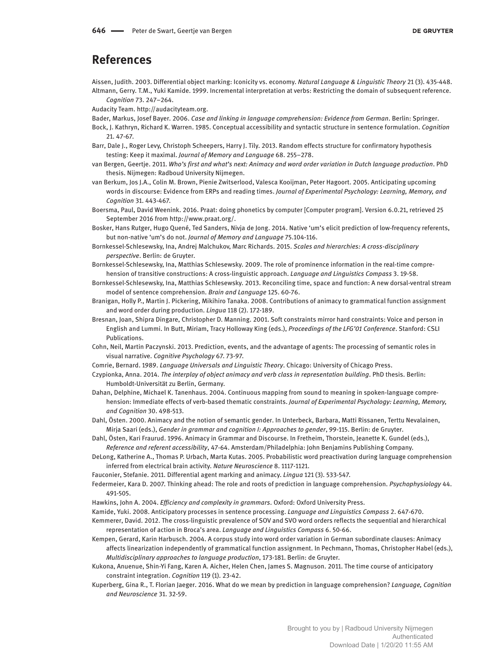# **References**

Aissen, Judith. 2003. Differential object marking: Iconicity vs. economy. *Natural Language & Linguistic Theory* 21 (3). 435-448. Altmann, Gerry. T.M., Yuki Kamide. 1999. Incremental interpretation at verbs: Restricting the domain of subsequent reference. *Cognition* 73. 247–264.

Audacity Team. [http://audacityteam.org.](http://audacityteam.org)

- Bader, Markus, Josef Bayer. 2006. *Case and linking in language comprehension: Evidence from German*. Berlin: Springer.
- Bock, J. Kathryn, Richard K. Warren. 1985. Conceptual accessibility and syntactic structure in sentence formulation. *Cognition* 21. 47-67.
- Barr, Dale J., Roger Levy, Christoph Scheepers, Harry J. Tily. 2013. Random effects structure for confirmatory hypothesis testing: Keep it maximal. *Journal of Memory and Language* 68. 255–278.
- van Bergen, Geertje. 2011. *Who's first and what's next: Animacy and word order variation in Dutch language production*. PhD thesis. Nijmegen: Radboud University Nijmegen.
- van Berkum, Jos J.A., Colin M. Brown, Pienie Zwitserlood, Valesca Kooijman, Peter Hagoort. 2005. Anticipating upcoming words in discourse: Evidence from ERPs and reading times. *Journal of Experimental Psychology: Learning, Memory, and Cognition* 31. 443-467.
- Boersma, Paul, David Weenink. 2016. Praat: doing phonetics by computer [Computer program]. Version 6.0.21, retrieved 25 September 2016 from <http://www.praat.org/>.
- Bosker, Hans Rutger, Hugo Quené, Ted Sanders, Nivja de Jong. 2014. Native 'um's elicit prediction of low-frequency referents, but non-native 'um's do not. *Journal of Memory and Language* 75.104-116.
- Bornkessel-Schlesewsky, Ina, Andrej Malchukov, Marc Richards. 2015. *Scales and hierarchies: A cross-disciplinary perspective*. Berlin: de Gruyter.
- Bornkessel-Schlesewsky, Ina, Matthias Schlesewsky. 2009. The role of prominence information in the real-time comprehension of transitive constructions: A cross-linguistic approach. *Language and Linguistics Compass* 3. 19-58.
- Bornkessel-Schlesewsky, Ina, Matthias Schlesewsky. 2013. Reconciling time, space and function: A new dorsal-ventral stream model of sentence comprehension. *Brain and Language* 125. 60-76.
- Branigan, Holly P., Martin J. Pickering, Mikihiro Tanaka. 2008. Contributions of animacy to grammatical function assignment and word order during production. *Lingua* 118 (2). 172-189.
- Bresnan, Joan, Shipra Dingare, Christopher D. Manning. 2001. Soft constraints mirror hard constraints: Voice and person in English and Lummi. In Butt, Miriam, Tracy Holloway King (eds.), *Proceedings of the LFG'01 Conference*. Stanford: CSLI Publications.
- Cohn, Neil, Martin Paczynski. 2013. Prediction, events, and the advantage of agents: The processing of semantic roles in visual narrative. *Cognitive Psychology* 67. 73-97.
- Comrie, Bernard. 1989. *Language Universals and Linguistic Theory*. Chicago: University of Chicago Press.
- Czypionka, Anna. 2014. *The interplay of object animacy and verb class in representation building*. PhD thesis. Berlin: Humboldt-Universität zu Berlin, Germany.
- Dahan, Delphine, Michael K. Tanenhaus. 2004. Continuous mapping from sound to meaning in spoken-language comprehension: Immediate effects of verb-based thematic constraints. *Journal of Experimental Psychology: Learning, Memory, and Cognition* 30. 498-513.
- Dahl, Östen. 2000. Animacy and the notion of semantic gender. In Unterbeck, Barbara, Matti Rissanen, Terttu Nevalainen, Mirja Saari (eds.), *Gender in grammar and cognition I: Approaches to gender*, 99-115. Berlin: de Gruyter.
- Dahl, Östen, Kari Fraurud. 1996. Animacy in Grammar and Discourse. In Fretheim, Thorstein, Jeanette K. Gundel (eds.), *Reference and referent accessibility*, 47-64. Amsterdam/Philadelphia: John Benjamins Publishing Company.
- DeLong, Katherine A., Thomas P. Urbach, Marta Kutas. 2005. Probabilistic word preactivation during language comprehension inferred from electrical brain activity. *Nature Neuroscience* 8. 1117-1121.
- Fauconier, Stefanie. 2011. Differential agent marking and animacy. *Lingua* 121 (3). 533-547.
- Federmeier, Kara D. 2007. Thinking ahead: The role and roots of prediction in language comprehension. *Psychophysiology* 44. 491-505.
- Hawkins, John A. 2004. *Efficiency and complexity in grammars*. Oxford: Oxford University Press.
- Kamide, Yuki. 2008. Anticipatory processes in sentence processing. *Language and Linguistics Compass* 2. 647-670.
- Kemmerer, David. 2012. The cross-linguistic prevalence of SOV and SVO word orders reflects the sequential and hierarchical representation of action in Broca's area. *Language and Linguistics Compass* 6. 50-66.
- Kempen, Gerard, Karin Harbusch. 2004. A corpus study into word order variation in German subordinate clauses: Animacy affects linearization independently of grammatical function assignment. In Pechmann, Thomas, Christopher Habel (eds.), *Multidisciplinary approaches to language production*, 173-181. Berlin: de Gruyter.
- Kukona, Anuenue, Shin-Yi Fang, Karen A. Aicher, Helen Chen, James S. Magnuson. 2011. The time course of anticipatory constraint integration. *Cognition* 119 (1). 23-42.
- Kuperberg, Gina R., T. Florian Jaeger. 2016. What do we mean by prediction in language comprehension? *Language, Cognition and Neuroscience* 31. 32-59.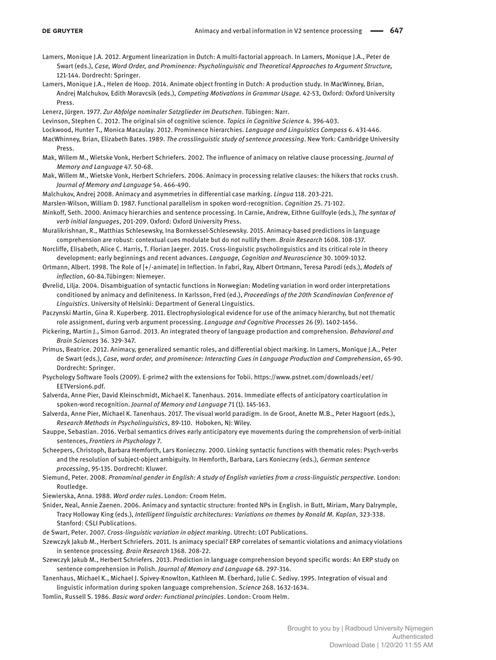- Lamers, Monique J.A. 2012. Argument linearization in Dutch: A multi-factorial approach. In Lamers, Monique J.A., Peter de Swart (eds.), *Case, Word Order, and Prominence: Psycholinguistic and Theoretical Approaches to Argument Structure,*  121-144. Dordrecht: Springer.
- Lamers, Monique J.A., Helen de Hoop. 2014. Animate object fronting in Dutch: A production study. In MacWinney, Brian, Andrej Malchukov, Edith Moravcsik (eds.), *Competing Motivations in Grammar Usage.* 42-53, Oxford: Oxford University Press.
- Lenerz, Jürgen. 1977. *Zur Abfolge nominaler Satzglieder im Deutschen*. Tübingen: Narr.
- Levinson, Stephen C. 2012. The original sin of cognitive science. *Topics in Cognitive Science* 4. 396-403.
- Lockwood, Hunter T., Monica Macaulay. 2012. Prominence hierarchies. *Language and Linguistics Compass* 6. 431-446.
- MacWhinney, Brian, Elizabeth Bates. 1989. *The crosslinguistic study of sentence processing*. New York: Cambridge University Press.
- Mak, Willem M., Wietske Vonk, Herbert Schriefers. 2002. The influence of animacy on relative clause processing. *Journal of Memory and Language* 47. 50-68.
- Mak, Willem M., Wietske Vonk, Herbert Schriefers. 2006. Animacy in processing relative clauses: the hikers that rocks crush. *Journal of Memory and Language* 54. 466-490.
- Malchukov, Andrej 2008. Animacy and asymmetries in differential case marking. *Lingua* 118. 203-221.
- Marslen-Wilson, William D. 1987. Functional parallelism in spoken word-recognition. *Cognition* 25. 71-102.
- Minkoff, Seth. 2000. Animacy hierarchies and sentence processing. In Carnie, Andrew, Eithne Guilfoyle (eds.), *The syntax of verb initial languages*, 201-209. Oxford: Oxford University Press.
- Muralikrishnan, R., Matthias Schlesewsky, Ina Bornkessel-Schlesewsky. 2015. Animacy-based predictions in language comprehension are robust: contextual cues modulate but do not nullify them. *Brain Research* 1608. 108-137.
- Norcliffe, Elisabeth, Alice C. Harris, T. Florian Jaeger. 2015. Cross-linguistic psycholinguistics and its critical role in theory development: early beginnings and recent advances. *Language, Cognition and Neuroscience* 30. 1009-1032.
- Ortmann, Albert. 1998. The Role of [+/-animate] in Inflection. In Fabri, Ray, Albert Ortmann, Teresa Parodi (eds.), *Models of inflection*, 60-84.Tübingen: Niemeyer.
- Øvrelid, Lilja. 2004. Disambiguation of syntactic functions in Norwegian: Modeling variation in word order interpretations conditioned by animacy and definiteness. In Karlsson, Fred (ed.), *Proceedings of the 20th Scandinavian Conference of Linguistics*. University of Helsinki: Department of General Linguistics.
- Paczynski Martin, Gina R. Kuperberg. 2011. Electrophysiological evidence for use of the animacy hierarchy, but not thematic role assignment, during verb argument processing. *Language and Cognitive Processes* 26 (9). 1402-1456.
- Pickering, Martin J., Simon Garrod. 2013. An integrated theory of language production and comprehension. *Behavioral and Brain Sciences* 36. 329-347.
- Primus, Beatrice. 2012. Animacy, generalized semantic roles, and differential object marking. In Lamers, Monique J.A., Peter de Swart (eds.), *Case, word order, and prominence: Interacting Cues in Language Production and Comprehension*, 65-90. Dordrecht: Springer.
- Psychology Software Tools (2009). E-prime2 with the extensions for Tobii. [https://www.pstnet.com/downloads/eet/](https://www.pstnet.com/downloads/eet/EETVersion6.pdf) [EETVersion6.pdf](https://www.pstnet.com/downloads/eet/EETVersion6.pdf).
- Salverda, Anne Pier, David Kleinschmidt, Michael K. Tanenhaus. 2014. Immediate effects of anticipatory coarticulation in spoken-word recognition. *Journal of Memory and Language* 71 (1). 145-163.
- Salverda, Anne Pier, Michael K. Tanenhaus. 2017. The visual world paradigm. In de Groot, Anette M.B., Peter Hagoort (eds.), *Research Methods in Psycholinguistics*, 89-110. Hoboken, NJ: Wiley.
- Sauppe, Sebastian. 2016. Verbal semantics drives early anticipatory eye movements during the comprehension of verb-initial sentences, *Frontiers in Psychology* 7.
- Scheepers, Christoph, Barbara Hemforth, Lars Konieczny. 2000. Linking syntactic functions with thematic roles: Psych-verbs and the resolution of subject-object ambiguity. In Hemforth, Barbara, Lars Konieczny (eds.), *German sentence processing*, 95-135. Dordrecht: Kluwer.
- Siemund, Peter. 2008. *Pronominal gender in English: A study of English varieties from a cross-linguistic perspective*. London: Routledge.
- Siewierska, Anna. 1988. *Word order rules*. London: Croom Helm.
- Snider, Neal, Annie Zaenen. 2006. Animacy and syntactic structure: fronted NPs in English. in Butt, Miriam, Mary Dalrymple, Tracy Holloway King (eds.), *Intelligent linguistic architectures: Variations on themes by Ronald M. Kaplan*, 323-338. Stanford: CSLI Publications.
- de Swart, Peter. 2007. *Cross-linguistic variation in object marking*. Utrecht: LOT Publications.
- Szewczyk Jakub M., Herbert Schriefers. 2011. Is animacy special? ERP correlates of semantic violations and animacy violations in sentence processing. *Brain Research* 1368. 208-22.
- Szewczyk Jakub M., Herbert Schriefers. 2013. Prediction in language comprehension beyond specific words: An ERP study on sentence comprehension in Polish. *Journal of Memory and Language* 68. 297-314.
- Tanenhaus, Michael K., Michael J. Spivey-Knowlton, Kathleen M. Eberhard, Julie C. Sedivy. 1995. Integration of visual and linguistic information during spoken language comprehension. *Science* 268. 1632-1634.
- Tomlin, Russell S. 1986. *Basic word order: Functional principles*. London: Croom Helm.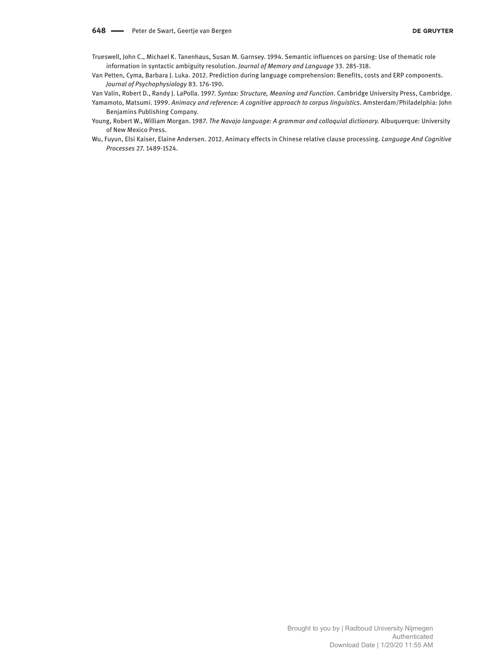- Trueswell, John C., Michael K. Tanenhaus, Susan M. Garnsey. 1994. Semantic influences on parsing: Use of thematic role information in syntactic ambiguity resolution. *Journal of Memory and Language* 33. 285-318.
- Van Petten, Cyma, Barbara J. Luka. 2012. Prediction during language comprehension: Benefits, costs and ERP components. *Journal of Psychophysiology* 83. 176-190.

Van Valin, Robert D., Randy J. LaPolla. 1997. *Syntax: Structure, Meaning and Function*. Cambridge University Press, Cambridge. Yamamoto, Matsumi. 1999. *Animacy and reference: A cognitive approach to corpus linguistics*. Amsterdam/Philadelphia: John Benjamins Publishing Company.

- Young, Robert W., William Morgan. 1987. *The Navajo language: A grammar and colloquial dictionary.* Albuquerque: University of New Mexico Press.
- Wu, Fuyun, Elsi Kaiser, Elaine Andersen. 2012. Animacy effects in Chinese relative clause processing. *Language And Cognitive Processes* 27. 1489-1524.